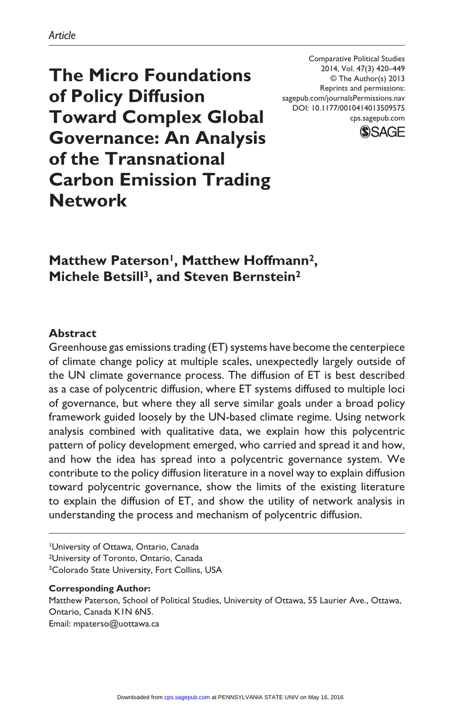**The Micro Foundations of Policy Diffusion Toward Complex Global Governance: An Analysis of the Transnational Carbon Emission Trading Network**

Comparative Political Studies 2014, Vol. 47(3) 420–449 © The Author(s) 2013 Reprints and permissions: sagepub.com/journalsPermissions.nav DOI: 10.1177/0010414013509575 cps.sagepub.com



Matthew Paterson<sup>1</sup>, Matthew Hoffmann<sup>2</sup>, **Michele Betsill3, and Steven Bernstein2**

#### **Abstract**

Greenhouse gas emissions trading (ET) systems have become the centerpiece of climate change policy at multiple scales, unexpectedly largely outside of the UN climate governance process. The diffusion of ET is best described as a case of polycentric diffusion, where ET systems diffused to multiple loci of governance, but where they all serve similar goals under a broad policy framework guided loosely by the UN-based climate regime. Using network analysis combined with qualitative data, we explain how this polycentric pattern of policy development emerged, who carried and spread it and how, and how the idea has spread into a polycentric governance system. We contribute to the policy diffusion literature in a novel way to explain diffusion toward polycentric governance, show the limits of the existing literature to explain the diffusion of ET, and show the utility of network analysis in understanding the process and mechanism of polycentric diffusion.

1University of Ottawa, Ontario, Canada

2University of Toronto, Ontario, Canada

<sup>3</sup>Colorado State University, Fort Collins, USA

#### **Corresponding Author:**

Matthew Paterson, School of Political Studies, University of Ottawa, 55 Laurier Ave., Ottawa, Ontario, Canada K1N 6N5. Email: [mpaterso@uottawa.ca](mailto:mpaterso@uottawa.ca)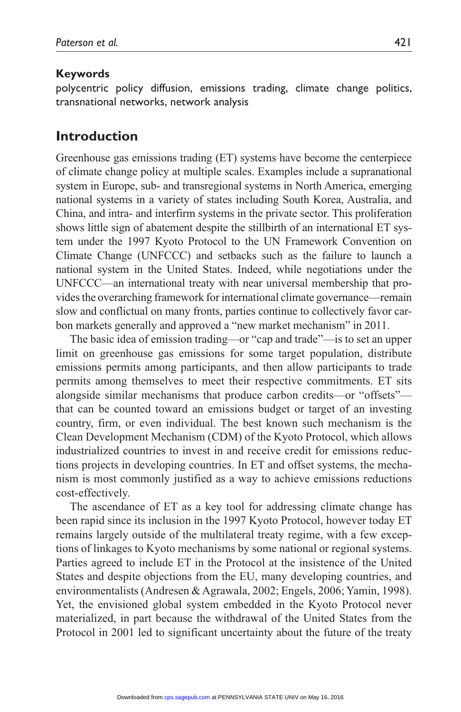#### **Keywords**

polycentric policy diffusion, emissions trading, climate change politics, transnational networks, network analysis

# **Introduction**

Greenhouse gas emissions trading (ET) systems have become the centerpiece of climate change policy at multiple scales. Examples include a supranational system in Europe, sub- and transregional systems in North America, emerging national systems in a variety of states including South Korea, Australia, and China, and intra- and interfirm systems in the private sector. This proliferation shows little sign of abatement despite the stillbirth of an international ET system under the 1997 Kyoto Protocol to the UN Framework Convention on Climate Change (UNFCCC) and setbacks such as the failure to launch a national system in the United States. Indeed, while negotiations under the UNFCCC—an international treaty with near universal membership that provides the overarching framework for international climate governance—remain slow and conflictual on many fronts, parties continue to collectively favor carbon markets generally and approved a "new market mechanism" in 2011.

The basic idea of emission trading—or "cap and trade"—is to set an upper limit on greenhouse gas emissions for some target population, distribute emissions permits among participants, and then allow participants to trade permits among themselves to meet their respective commitments. ET sits alongside similar mechanisms that produce carbon credits—or "offsets" that can be counted toward an emissions budget or target of an investing country, firm, or even individual. The best known such mechanism is the Clean Development Mechanism (CDM) of the Kyoto Protocol, which allows industrialized countries to invest in and receive credit for emissions reductions projects in developing countries. In ET and offset systems, the mechanism is most commonly justified as a way to achieve emissions reductions cost-effectively.

The ascendance of ET as a key tool for addressing climate change has been rapid since its inclusion in the 1997 Kyoto Protocol, however today ET remains largely outside of the multilateral treaty regime, with a few exceptions of linkages to Kyoto mechanisms by some national or regional systems. Parties agreed to include ET in the Protocol at the insistence of the United States and despite objections from the EU, many developing countries, and environmentalists (Andresen & Agrawala, 2002; Engels, 2006; Yamin, 1998). Yet, the envisioned global system embedded in the Kyoto Protocol never materialized, in part because the withdrawal of the United States from the Protocol in 2001 led to significant uncertainty about the future of the treaty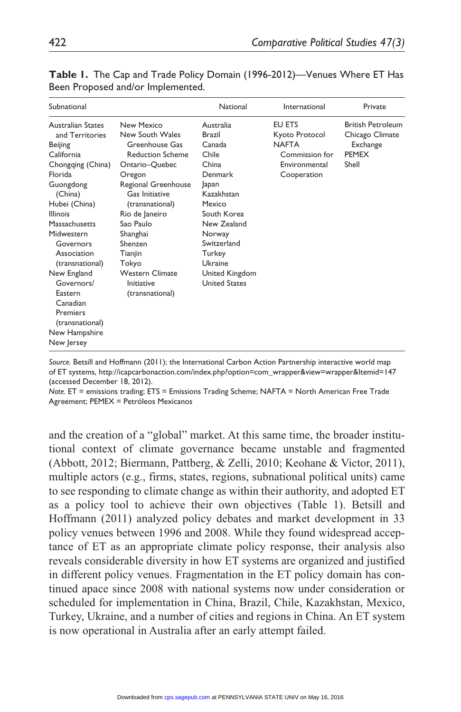| Subnational                                                                                                                                                                                                                                                                                                                                                      |                                                                                                                                                                                                                                                                                                         | National                                                                                                                                                                                                          | International                                                                              | Private                                                                          |
|------------------------------------------------------------------------------------------------------------------------------------------------------------------------------------------------------------------------------------------------------------------------------------------------------------------------------------------------------------------|---------------------------------------------------------------------------------------------------------------------------------------------------------------------------------------------------------------------------------------------------------------------------------------------------------|-------------------------------------------------------------------------------------------------------------------------------------------------------------------------------------------------------------------|--------------------------------------------------------------------------------------------|----------------------------------------------------------------------------------|
| <b>Australian States</b><br>and Territories<br>Beijing<br>California<br>Chongqing (China)<br>Florida<br>Guongdong<br>(China)<br>Hubei (China)<br><b>Illinois</b><br>Massachusetts<br>Midwestern<br>Governors<br>Association<br>(transnational)<br>New England<br>Governors/<br>Eastern<br>Canadian<br>Premiers<br>(transnational)<br>New Hampshire<br>New Jersey | New Mexico<br>New South Wales<br>Greenhouse Gas<br><b>Reduction Scheme</b><br>Ontario-Quebec<br>Oregon<br>Regional Greenhouse<br>Gas Initiative<br>(transnational)<br>Rio de Janeiro<br>Sao Paulo<br>Shanghai<br>Shenzen<br>Tianjin<br>Tokyo<br><b>Western Climate</b><br>Initiative<br>(transnational) | Australia<br>Brazil<br>Canada<br>Chile<br>China<br>Denmark<br>lapan<br>Kazakhstan<br>Mexico<br>South Korea<br>New Zealand<br>Norway<br>Switzerland<br>Turkey<br>Ukraine<br>United Kingdom<br><b>United States</b> | EU ETS<br>Kyoto Protocol<br><b>NAFTA</b><br>Commission for<br>Environmental<br>Cooperation | <b>British Petroleum</b><br>Chicago Climate<br>Exchange<br><b>PEMEX</b><br>Shell |

**Table 1.** The Cap and Trade Policy Domain (1996-2012)—Venues Where ET Has Been Proposed and/or Implemented.

*Source.* Betsill and Hoffmann (2011); the International Carbon Action Partnership interactive world map of ET systems, [http://icapcarbonaction.com/index.php?option=com\\_wrapper&view=wrapper&Itemid=147](http://icapcarbonaction.com/index.php?option=com_wrapper&view=wrapper&Itemid=147) (accessed December 18, 2012).

*Note.* ET = emissions trading; ETS = Emissions Trading Scheme; NAFTA = North American Free Trade Agreement; PEMEX = Petróleos Mexicanos

and the creation of a "global" market. At this same time, the broader institutional context of climate governance became unstable and fragmented (Abbott, 2012; Biermann, Pattberg, & Zelli, 2010; Keohane & Victor, 2011), multiple actors (e.g., firms, states, regions, subnational political units) came to see responding to climate change as within their authority, and adopted ET as a policy tool to achieve their own objectives (Table 1). Betsill and Hoffmann (2011) analyzed policy debates and market development in 33 policy venues between 1996 and 2008. While they found widespread acceptance of ET as an appropriate climate policy response, their analysis also reveals considerable diversity in how ET systems are organized and justified in different policy venues. Fragmentation in the ET policy domain has continued apace since 2008 with national systems now under consideration or scheduled for implementation in China, Brazil, Chile, Kazakhstan, Mexico, Turkey, Ukraine, and a number of cities and regions in China. An ET system is now operational in Australia after an early attempt failed.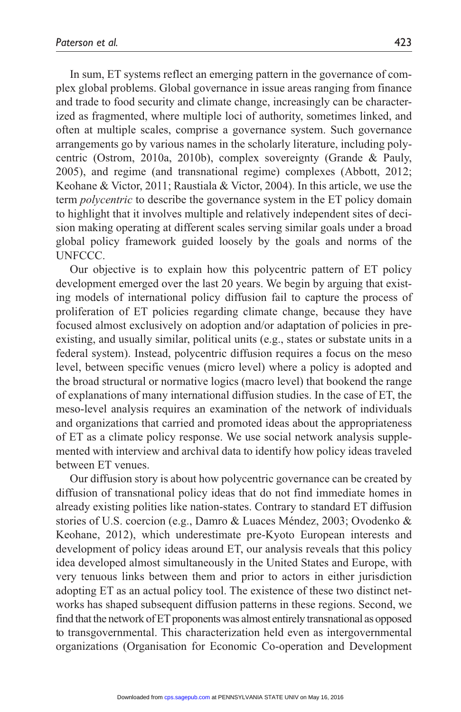In sum, ET systems reflect an emerging pattern in the governance of complex global problems. Global governance in issue areas ranging from finance and trade to food security and climate change, increasingly can be characterized as fragmented, where multiple loci of authority, sometimes linked, and often at multiple scales, comprise a governance system. Such governance arrangements go by various names in the scholarly literature, including polycentric (Ostrom, 2010a, 2010b), complex sovereignty (Grande & Pauly, 2005), and regime (and transnational regime) complexes (Abbott, 2012; Keohane & Victor, 2011; Raustiala & Victor, 2004). In this article, we use the term *polycentric* to describe the governance system in the ET policy domain to highlight that it involves multiple and relatively independent sites of decision making operating at different scales serving similar goals under a broad global policy framework guided loosely by the goals and norms of the UNFCCC.

Our objective is to explain how this polycentric pattern of ET policy development emerged over the last 20 years. We begin by arguing that existing models of international policy diffusion fail to capture the process of proliferation of ET policies regarding climate change, because they have focused almost exclusively on adoption and/or adaptation of policies in preexisting, and usually similar, political units (e.g., states or substate units in a federal system). Instead, polycentric diffusion requires a focus on the meso level, between specific venues (micro level) where a policy is adopted and the broad structural or normative logics (macro level) that bookend the range of explanations of many international diffusion studies. In the case of ET, the meso-level analysis requires an examination of the network of individuals and organizations that carried and promoted ideas about the appropriateness of ET as a climate policy response. We use social network analysis supplemented with interview and archival data to identify how policy ideas traveled between ET venues.

Our diffusion story is about how polycentric governance can be created by diffusion of transnational policy ideas that do not find immediate homes in already existing polities like nation-states. Contrary to standard ET diffusion stories of U.S. coercion (e.g., Damro & Luaces Méndez, 2003; Ovodenko & Keohane, 2012), which underestimate pre-Kyoto European interests and development of policy ideas around ET, our analysis reveals that this policy idea developed almost simultaneously in the United States and Europe, with very tenuous links between them and prior to actors in either jurisdiction adopting ET as an actual policy tool. The existence of these two distinct networks has shaped subsequent diffusion patterns in these regions. Second, we find that the network of ET proponents was almost entirely transnational as opposed to transgovernmental. This characterization held even as intergovernmental organizations (Organisation for Economic Co-operation and Development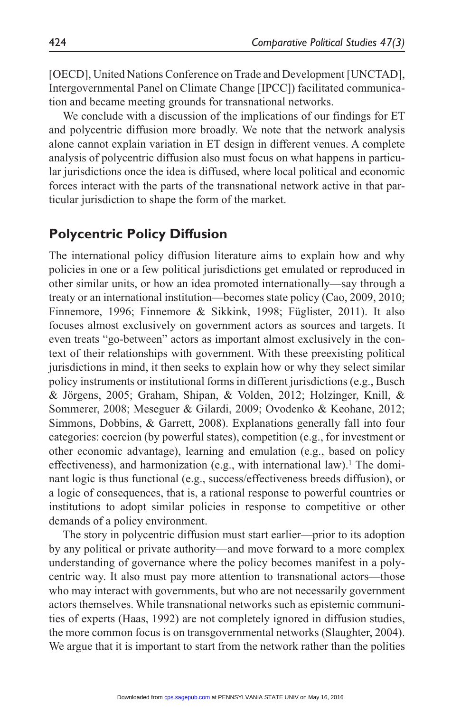[OECD], United Nations Conference on Trade and Development [UNCTAD], Intergovernmental Panel on Climate Change [IPCC]) facilitated communication and became meeting grounds for transnational networks.

We conclude with a discussion of the implications of our findings for ET and polycentric diffusion more broadly. We note that the network analysis alone cannot explain variation in ET design in different venues. A complete analysis of polycentric diffusion also must focus on what happens in particular jurisdictions once the idea is diffused, where local political and economic forces interact with the parts of the transnational network active in that particular jurisdiction to shape the form of the market.

# **Polycentric Policy Diffusion**

The international policy diffusion literature aims to explain how and why policies in one or a few political jurisdictions get emulated or reproduced in other similar units, or how an idea promoted internationally—say through a treaty or an international institution—becomes state policy (Cao, 2009, 2010; Finnemore, 1996; Finnemore & Sikkink, 1998; Füglister, 2011). It also focuses almost exclusively on government actors as sources and targets. It even treats "go-between" actors as important almost exclusively in the context of their relationships with government. With these preexisting political jurisdictions in mind, it then seeks to explain how or why they select similar policy instruments or institutional forms in different jurisdictions (e.g., Busch & Jörgens, 2005; Graham, Shipan, & Volden, 2012; Holzinger, Knill, & Sommerer, 2008; Meseguer & Gilardi, 2009; Ovodenko & Keohane, 2012; Simmons, Dobbins, & Garrett, 2008). Explanations generally fall into four categories: coercion (by powerful states), competition (e.g., for investment or other economic advantage), learning and emulation (e.g., based on policy effectiveness), and harmonization (e.g., with international law).<sup>1</sup> The dominant logic is thus functional (e.g., success/effectiveness breeds diffusion), or a logic of consequences, that is, a rational response to powerful countries or institutions to adopt similar policies in response to competitive or other demands of a policy environment.

The story in polycentric diffusion must start earlier—prior to its adoption by any political or private authority—and move forward to a more complex understanding of governance where the policy becomes manifest in a polycentric way. It also must pay more attention to transnational actors—those who may interact with governments, but who are not necessarily government actors themselves. While transnational networks such as epistemic communities of experts (Haas, 1992) are not completely ignored in diffusion studies, the more common focus is on transgovernmental networks (Slaughter, 2004). We argue that it is important to start from the network rather than the polities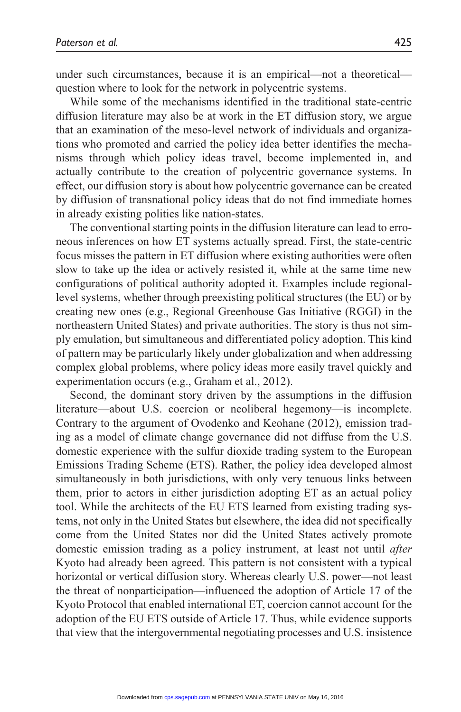under such circumstances, because it is an empirical—not a theoretical question where to look for the network in polycentric systems.

While some of the mechanisms identified in the traditional state-centric diffusion literature may also be at work in the ET diffusion story, we argue that an examination of the meso-level network of individuals and organizations who promoted and carried the policy idea better identifies the mechanisms through which policy ideas travel, become implemented in, and actually contribute to the creation of polycentric governance systems. In effect, our diffusion story is about how polycentric governance can be created by diffusion of transnational policy ideas that do not find immediate homes in already existing polities like nation-states.

The conventional starting points in the diffusion literature can lead to erroneous inferences on how ET systems actually spread. First, the state-centric focus misses the pattern in ET diffusion where existing authorities were often slow to take up the idea or actively resisted it, while at the same time new configurations of political authority adopted it. Examples include regionallevel systems, whether through preexisting political structures (the EU) or by creating new ones (e.g., Regional Greenhouse Gas Initiative (RGGI) in the northeastern United States) and private authorities. The story is thus not simply emulation, but simultaneous and differentiated policy adoption. This kind of pattern may be particularly likely under globalization and when addressing complex global problems, where policy ideas more easily travel quickly and experimentation occurs (e.g., Graham et al., 2012).

Second, the dominant story driven by the assumptions in the diffusion literature—about U.S. coercion or neoliberal hegemony—is incomplete. Contrary to the argument of Ovodenko and Keohane (2012), emission trading as a model of climate change governance did not diffuse from the U.S. domestic experience with the sulfur dioxide trading system to the European Emissions Trading Scheme (ETS). Rather, the policy idea developed almost simultaneously in both jurisdictions, with only very tenuous links between them, prior to actors in either jurisdiction adopting ET as an actual policy tool. While the architects of the EU ETS learned from existing trading systems, not only in the United States but elsewhere, the idea did not specifically come from the United States nor did the United States actively promote domestic emission trading as a policy instrument, at least not until *after* Kyoto had already been agreed. This pattern is not consistent with a typical horizontal or vertical diffusion story. Whereas clearly U.S. power—not least the threat of nonparticipation—influenced the adoption of Article 17 of the Kyoto Protocol that enabled international ET, coercion cannot account for the adoption of the EU ETS outside of Article 17. Thus, while evidence supports that view that the intergovernmental negotiating processes and U.S. insistence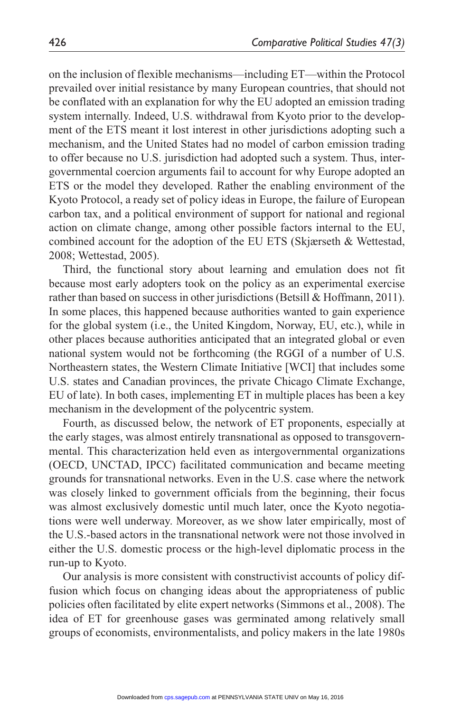on the inclusion of flexible mechanisms—including ET—within the Protocol prevailed over initial resistance by many European countries, that should not be conflated with an explanation for why the EU adopted an emission trading system internally. Indeed, U.S. withdrawal from Kyoto prior to the development of the ETS meant it lost interest in other jurisdictions adopting such a mechanism, and the United States had no model of carbon emission trading to offer because no U.S. jurisdiction had adopted such a system. Thus, intergovernmental coercion arguments fail to account for why Europe adopted an ETS or the model they developed. Rather the enabling environment of the Kyoto Protocol, a ready set of policy ideas in Europe, the failure of European carbon tax, and a political environment of support for national and regional action on climate change, among other possible factors internal to the EU, combined account for the adoption of the EU ETS (Skjærseth & Wettestad, 2008; Wettestad, 2005).

Third, the functional story about learning and emulation does not fit because most early adopters took on the policy as an experimental exercise rather than based on success in other jurisdictions (Betsill & Hoffmann, 2011). In some places, this happened because authorities wanted to gain experience for the global system (i.e., the United Kingdom, Norway, EU, etc.), while in other places because authorities anticipated that an integrated global or even national system would not be forthcoming (the RGGI of a number of U.S. Northeastern states, the Western Climate Initiative [WCI] that includes some U.S. states and Canadian provinces, the private Chicago Climate Exchange, EU of late). In both cases, implementing ET in multiple places has been a key mechanism in the development of the polycentric system.

Fourth, as discussed below, the network of ET proponents, especially at the early stages, was almost entirely transnational as opposed to transgovernmental. This characterization held even as intergovernmental organizations (OECD, UNCTAD, IPCC) facilitated communication and became meeting grounds for transnational networks. Even in the U.S. case where the network was closely linked to government officials from the beginning, their focus was almost exclusively domestic until much later, once the Kyoto negotiations were well underway. Moreover, as we show later empirically, most of the U.S.-based actors in the transnational network were not those involved in either the U.S. domestic process or the high-level diplomatic process in the run-up to Kyoto.

Our analysis is more consistent with constructivist accounts of policy diffusion which focus on changing ideas about the appropriateness of public policies often facilitated by elite expert networks (Simmons et al., 2008). The idea of ET for greenhouse gases was germinated among relatively small groups of economists, environmentalists, and policy makers in the late 1980s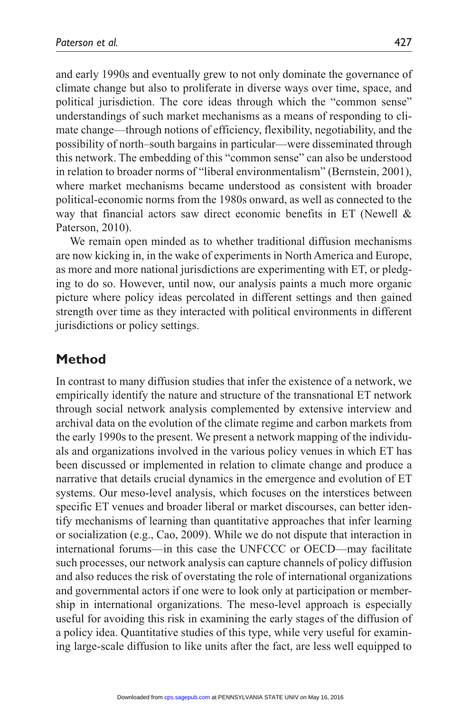and early 1990s and eventually grew to not only dominate the governance of climate change but also to proliferate in diverse ways over time, space, and political jurisdiction. The core ideas through which the "common sense" understandings of such market mechanisms as a means of responding to climate change—through notions of efficiency, flexibility, negotiability, and the possibility of north–south bargains in particular—were disseminated through this network. The embedding of this "common sense" can also be understood in relation to broader norms of "liberal environmentalism" (Bernstein, 2001), where market mechanisms became understood as consistent with broader political-economic norms from the 1980s onward, as well as connected to the way that financial actors saw direct economic benefits in ET (Newell & Paterson, 2010).

We remain open minded as to whether traditional diffusion mechanisms are now kicking in, in the wake of experiments in North America and Europe, as more and more national jurisdictions are experimenting with ET, or pledging to do so. However, until now, our analysis paints a much more organic picture where policy ideas percolated in different settings and then gained strength over time as they interacted with political environments in different jurisdictions or policy settings.

# **Method**

In contrast to many diffusion studies that infer the existence of a network, we empirically identify the nature and structure of the transnational ET network through social network analysis complemented by extensive interview and archival data on the evolution of the climate regime and carbon markets from the early 1990s to the present. We present a network mapping of the individuals and organizations involved in the various policy venues in which ET has been discussed or implemented in relation to climate change and produce a narrative that details crucial dynamics in the emergence and evolution of ET systems. Our meso-level analysis, which focuses on the interstices between specific ET venues and broader liberal or market discourses, can better identify mechanisms of learning than quantitative approaches that infer learning or socialization (e.g., Cao, 2009). While we do not dispute that interaction in international forums—in this case the UNFCCC or OECD—may facilitate such processes, our network analysis can capture channels of policy diffusion and also reduces the risk of overstating the role of international organizations and governmental actors if one were to look only at participation or membership in international organizations. The meso-level approach is especially useful for avoiding this risk in examining the early stages of the diffusion of a policy idea. Quantitative studies of this type, while very useful for examining large-scale diffusion to like units after the fact, are less well equipped to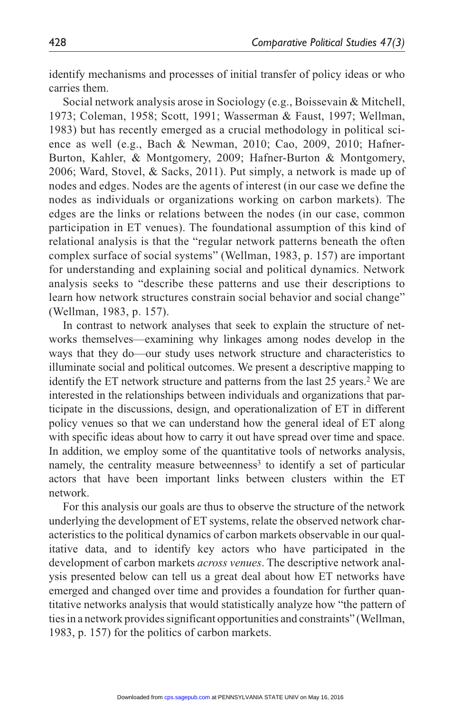identify mechanisms and processes of initial transfer of policy ideas or who carries them.

Social network analysis arose in Sociology (e.g., Boissevain & Mitchell, 1973; Coleman, 1958; Scott, 1991; Wasserman & Faust, 1997; Wellman, 1983) but has recently emerged as a crucial methodology in political science as well (e.g., Bach & Newman, 2010; Cao, 2009, 2010; Hafner-Burton, Kahler, & Montgomery, 2009; Hafner-Burton & Montgomery, 2006; Ward, Stovel, & Sacks, 2011). Put simply, a network is made up of nodes and edges. Nodes are the agents of interest (in our case we define the nodes as individuals or organizations working on carbon markets). The edges are the links or relations between the nodes (in our case, common participation in ET venues). The foundational assumption of this kind of relational analysis is that the "regular network patterns beneath the often complex surface of social systems" (Wellman, 1983, p. 157) are important for understanding and explaining social and political dynamics. Network analysis seeks to "describe these patterns and use their descriptions to learn how network structures constrain social behavior and social change" (Wellman, 1983, p. 157).

In contrast to network analyses that seek to explain the structure of networks themselves—examining why linkages among nodes develop in the ways that they do—our study uses network structure and characteristics to illuminate social and political outcomes. We present a descriptive mapping to identify the ET network structure and patterns from the last 25 years.2 We are interested in the relationships between individuals and organizations that participate in the discussions, design, and operationalization of ET in different policy venues so that we can understand how the general ideal of ET along with specific ideas about how to carry it out have spread over time and space. In addition, we employ some of the quantitative tools of networks analysis, namely, the centrality measure betweenness<sup>3</sup> to identify a set of particular actors that have been important links between clusters within the ET network.

For this analysis our goals are thus to observe the structure of the network underlying the development of ET systems, relate the observed network characteristics to the political dynamics of carbon markets observable in our qualitative data, and to identify key actors who have participated in the development of carbon markets *across venues*. The descriptive network analysis presented below can tell us a great deal about how ET networks have emerged and changed over time and provides a foundation for further quantitative networks analysis that would statistically analyze how "the pattern of ties in a network provides significant opportunities and constraints" (Wellman, 1983, p. 157) for the politics of carbon markets.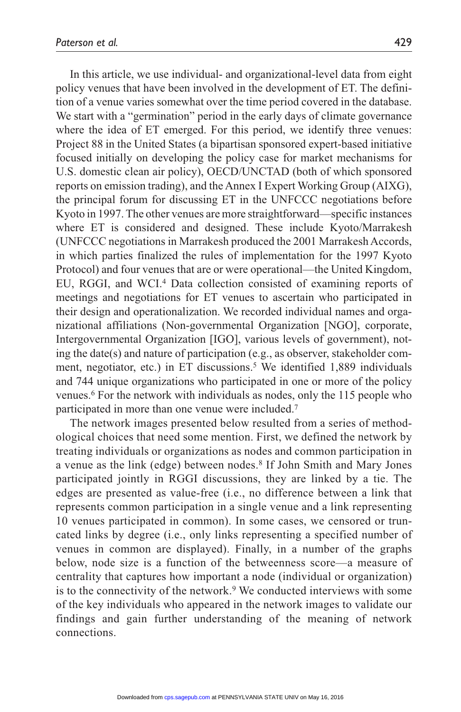In this article, we use individual- and organizational-level data from eight policy venues that have been involved in the development of ET. The definition of a venue varies somewhat over the time period covered in the database. We start with a "germination" period in the early days of climate governance where the idea of ET emerged. For this period, we identify three venues: Project 88 in the United States (a bipartisan sponsored expert-based initiative focused initially on developing the policy case for market mechanisms for U.S. domestic clean air policy), OECD/UNCTAD (both of which sponsored reports on emission trading), and the Annex I Expert Working Group (AIXG), the principal forum for discussing ET in the UNFCCC negotiations before Kyoto in 1997. The other venues are more straightforward—specific instances where ET is considered and designed. These include Kyoto/Marrakesh (UNFCCC negotiations in Marrakesh produced the 2001 Marrakesh Accords, in which parties finalized the rules of implementation for the 1997 Kyoto Protocol) and four venues that are or were operational—the United Kingdom, EU, RGGI, and WCI.4 Data collection consisted of examining reports of meetings and negotiations for ET venues to ascertain who participated in their design and operationalization. We recorded individual names and organizational affiliations (Non-governmental Organization [NGO], corporate, Intergovernmental Organization [IGO], various levels of government), noting the date(s) and nature of participation (e.g., as observer, stakeholder comment, negotiator, etc.) in ET discussions.<sup>5</sup> We identified 1,889 individuals and 744 unique organizations who participated in one or more of the policy venues.6 For the network with individuals as nodes, only the 115 people who participated in more than one venue were included.7

The network images presented below resulted from a series of methodological choices that need some mention. First, we defined the network by treating individuals or organizations as nodes and common participation in a venue as the link (edge) between nodes.8 If John Smith and Mary Jones participated jointly in RGGI discussions, they are linked by a tie. The edges are presented as value-free (i.e., no difference between a link that represents common participation in a single venue and a link representing 10 venues participated in common). In some cases, we censored or truncated links by degree (i.e., only links representing a specified number of venues in common are displayed). Finally, in a number of the graphs below, node size is a function of the betweenness score—a measure of centrality that captures how important a node (individual or organization) is to the connectivity of the network.9 We conducted interviews with some of the key individuals who appeared in the network images to validate our findings and gain further understanding of the meaning of network connections.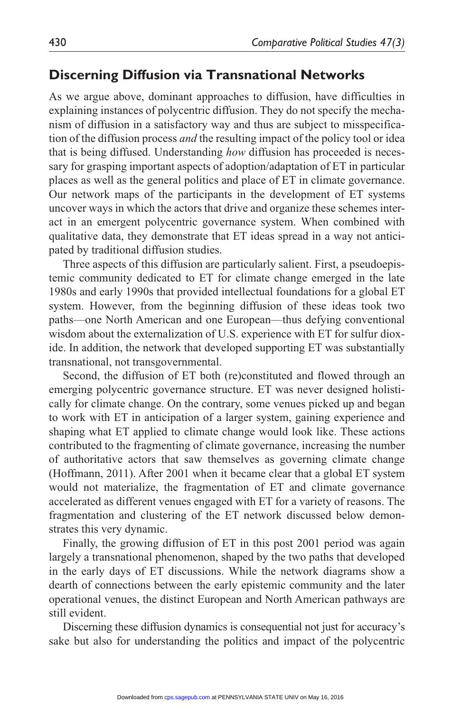# **Discerning Diffusion via Transnational Networks**

As we argue above, dominant approaches to diffusion, have difficulties in explaining instances of polycentric diffusion. They do not specify the mechanism of diffusion in a satisfactory way and thus are subject to misspecification of the diffusion process *and* the resulting impact of the policy tool or idea that is being diffused. Understanding *how* diffusion has proceeded is necessary for grasping important aspects of adoption/adaptation of ET in particular places as well as the general politics and place of ET in climate governance. Our network maps of the participants in the development of ET systems uncover ways in which the actors that drive and organize these schemes interact in an emergent polycentric governance system. When combined with qualitative data, they demonstrate that ET ideas spread in a way not anticipated by traditional diffusion studies.

Three aspects of this diffusion are particularly salient. First, a pseudoepistemic community dedicated to ET for climate change emerged in the late 1980s and early 1990s that provided intellectual foundations for a global ET system. However, from the beginning diffusion of these ideas took two paths—one North American and one European—thus defying conventional wisdom about the externalization of U.S. experience with ET for sulfur dioxide. In addition, the network that developed supporting ET was substantially transnational, not transgovernmental.

Second, the diffusion of ET both (re)constituted and flowed through an emerging polycentric governance structure. ET was never designed holistically for climate change. On the contrary, some venues picked up and began to work with ET in anticipation of a larger system, gaining experience and shaping what ET applied to climate change would look like. These actions contributed to the fragmenting of climate governance, increasing the number of authoritative actors that saw themselves as governing climate change (Hoffmann, 2011). After 2001 when it became clear that a global ET system would not materialize, the fragmentation of ET and climate governance accelerated as different venues engaged with ET for a variety of reasons. The fragmentation and clustering of the ET network discussed below demonstrates this very dynamic.

Finally, the growing diffusion of ET in this post 2001 period was again largely a transnational phenomenon, shaped by the two paths that developed in the early days of ET discussions. While the network diagrams show a dearth of connections between the early epistemic community and the later operational venues, the distinct European and North American pathways are still evident.

Discerning these diffusion dynamics is consequential not just for accuracy's sake but also for understanding the politics and impact of the polycentric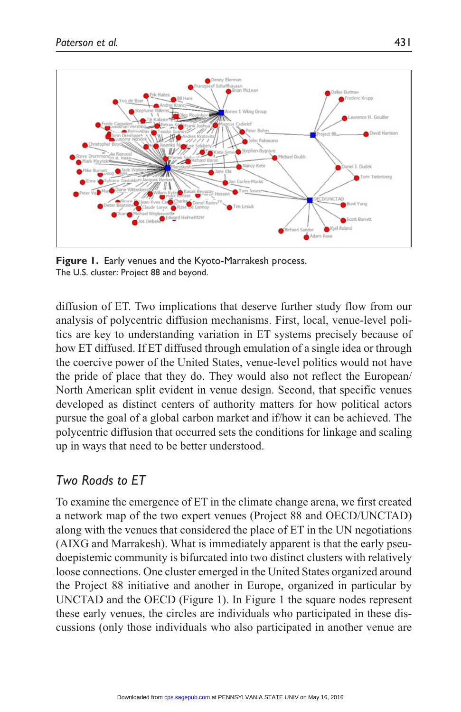

**Figure 1.** Early venues and the Kyoto-Marrakesh process. The U.S. cluster: Project 88 and beyond.

diffusion of ET. Two implications that deserve further study flow from our analysis of polycentric diffusion mechanisms. First, local, venue-level politics are key to understanding variation in ET systems precisely because of how ET diffused. If ET diffused through emulation of a single idea or through the coercive power of the United States, venue-level politics would not have the pride of place that they do. They would also not reflect the European/ North American split evident in venue design. Second, that specific venues developed as distinct centers of authority matters for how political actors pursue the goal of a global carbon market and if/how it can be achieved. The polycentric diffusion that occurred sets the conditions for linkage and scaling up in ways that need to be better understood.

# *Two Roads to ET*

To examine the emergence of ET in the climate change arena, we first created a network map of the two expert venues (Project 88 and OECD/UNCTAD) along with the venues that considered the place of ET in the UN negotiations (AIXG and Marrakesh). What is immediately apparent is that the early pseudoepistemic community is bifurcated into two distinct clusters with relatively loose connections. One cluster emerged in the United States organized around the Project 88 initiative and another in Europe, organized in particular by UNCTAD and the OECD (Figure 1). In Figure 1 the square nodes represent these early venues, the circles are individuals who participated in these discussions (only those individuals who also participated in another venue are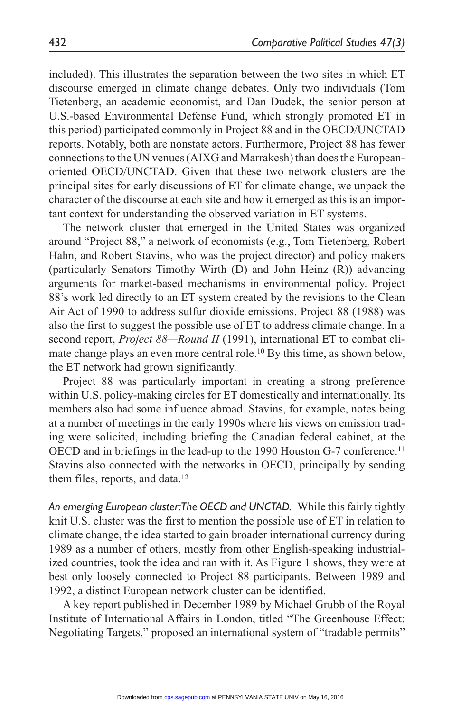included). This illustrates the separation between the two sites in which ET discourse emerged in climate change debates. Only two individuals (Tom Tietenberg, an academic economist, and Dan Dudek, the senior person at U.S.-based Environmental Defense Fund, which strongly promoted ET in this period) participated commonly in Project 88 and in the OECD/UNCTAD reports. Notably, both are nonstate actors. Furthermore, Project 88 has fewer connections to the UN venues (AIXG and Marrakesh) than does the Europeanoriented OECD/UNCTAD. Given that these two network clusters are the principal sites for early discussions of ET for climate change, we unpack the character of the discourse at each site and how it emerged as this is an important context for understanding the observed variation in ET systems.

The network cluster that emerged in the United States was organized around "Project 88," a network of economists (e.g., Tom Tietenberg, Robert Hahn, and Robert Stavins, who was the project director) and policy makers (particularly Senators Timothy Wirth (D) and John Heinz (R)) advancing arguments for market-based mechanisms in environmental policy. Project 88's work led directly to an ET system created by the revisions to the Clean Air Act of 1990 to address sulfur dioxide emissions. Project 88 (1988) was also the first to suggest the possible use of ET to address climate change. In a second report, *Project 88—Round II* (1991), international ET to combat climate change plays an even more central role.10 By this time, as shown below, the ET network had grown significantly.

Project 88 was particularly important in creating a strong preference within U.S. policy-making circles for ET domestically and internationally. Its members also had some influence abroad. Stavins, for example, notes being at a number of meetings in the early 1990s where his views on emission trading were solicited, including briefing the Canadian federal cabinet, at the OECD and in briefings in the lead-up to the 1990 Houston G-7 conference.11 Stavins also connected with the networks in OECD, principally by sending them files, reports, and data.12

*An emerging European cluster: The OECD and UNCTAD.* While this fairly tightly knit U.S. cluster was the first to mention the possible use of ET in relation to climate change, the idea started to gain broader international currency during 1989 as a number of others, mostly from other English-speaking industrialized countries, took the idea and ran with it. As Figure 1 shows, they were at best only loosely connected to Project 88 participants. Between 1989 and 1992, a distinct European network cluster can be identified.

A key report published in December 1989 by Michael Grubb of the Royal Institute of International Affairs in London, titled "The Greenhouse Effect: Negotiating Targets," proposed an international system of "tradable permits"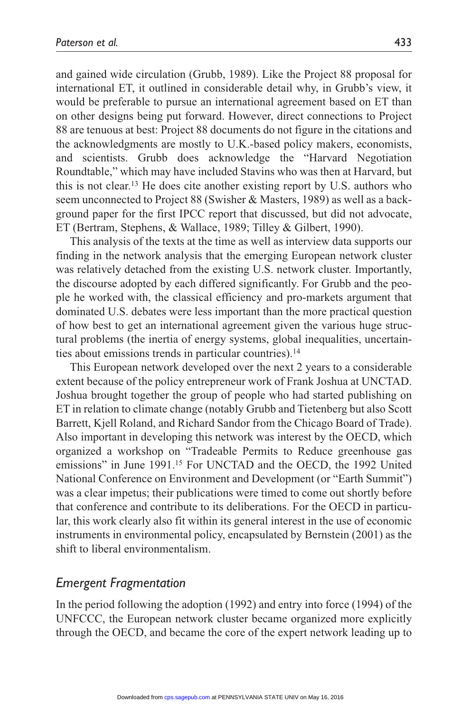and gained wide circulation (Grubb, 1989). Like the Project 88 proposal for international ET, it outlined in considerable detail why, in Grubb's view, it would be preferable to pursue an international agreement based on ET than on other designs being put forward. However, direct connections to Project 88 are tenuous at best: Project 88 documents do not figure in the citations and the acknowledgments are mostly to U.K.-based policy makers, economists, and scientists. Grubb does acknowledge the "Harvard Negotiation Roundtable," which may have included Stavins who was then at Harvard, but this is not clear.13 He does cite another existing report by U.S. authors who seem unconnected to Project 88 (Swisher & Masters, 1989) as well as a background paper for the first IPCC report that discussed, but did not advocate, ET (Bertram, Stephens, & Wallace, 1989; Tilley & Gilbert, 1990).

This analysis of the texts at the time as well as interview data supports our finding in the network analysis that the emerging European network cluster was relatively detached from the existing U.S. network cluster. Importantly, the discourse adopted by each differed significantly. For Grubb and the people he worked with, the classical efficiency and pro-markets argument that dominated U.S. debates were less important than the more practical question of how best to get an international agreement given the various huge structural problems (the inertia of energy systems, global inequalities, uncertainties about emissions trends in particular countries).<sup>14</sup>

This European network developed over the next 2 years to a considerable extent because of the policy entrepreneur work of Frank Joshua at UNCTAD. Joshua brought together the group of people who had started publishing on ET in relation to climate change (notably Grubb and Tietenberg but also Scott Barrett, Kjell Roland, and Richard Sandor from the Chicago Board of Trade). Also important in developing this network was interest by the OECD, which organized a workshop on "Tradeable Permits to Reduce greenhouse gas emissions" in June 1991.15 For UNCTAD and the OECD, the 1992 United National Conference on Environment and Development (or "Earth Summit") was a clear impetus; their publications were timed to come out shortly before that conference and contribute to its deliberations. For the OECD in particular, this work clearly also fit within its general interest in the use of economic instruments in environmental policy, encapsulated by Bernstein (2001) as the shift to liberal environmentalism.

# *Emergent Fragmentation*

In the period following the adoption (1992) and entry into force (1994) of the UNFCCC, the European network cluster became organized more explicitly through the OECD, and became the core of the expert network leading up to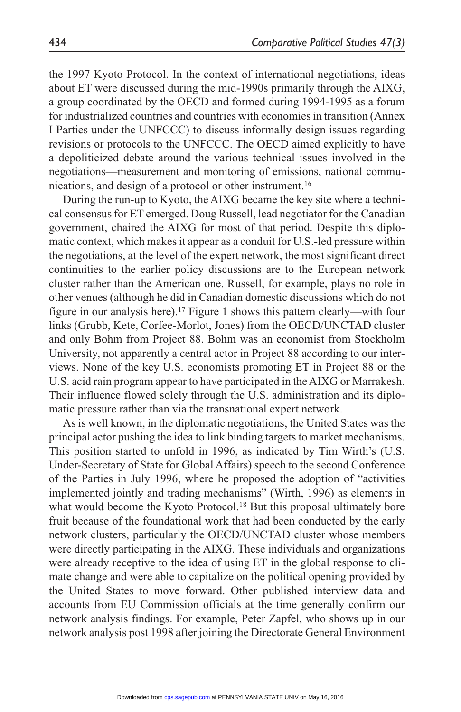the 1997 Kyoto Protocol. In the context of international negotiations, ideas about ET were discussed during the mid-1990s primarily through the AIXG, a group coordinated by the OECD and formed during 1994-1995 as a forum for industrialized countries and countries with economies in transition (Annex I Parties under the UNFCCC) to discuss informally design issues regarding revisions or protocols to the UNFCCC. The OECD aimed explicitly to have a depoliticized debate around the various technical issues involved in the negotiations—measurement and monitoring of emissions, national communications, and design of a protocol or other instrument.16

During the run-up to Kyoto, the AIXG became the key site where a technical consensus for ET emerged. Doug Russell, lead negotiator for the Canadian government, chaired the AIXG for most of that period. Despite this diplomatic context, which makes it appear as a conduit for U.S.-led pressure within the negotiations, at the level of the expert network, the most significant direct continuities to the earlier policy discussions are to the European network cluster rather than the American one. Russell, for example, plays no role in other venues (although he did in Canadian domestic discussions which do not figure in our analysis here).17 Figure 1 shows this pattern clearly—with four links (Grubb, Kete, Corfee-Morlot, Jones) from the OECD/UNCTAD cluster and only Bohm from Project 88. Bohm was an economist from Stockholm University, not apparently a central actor in Project 88 according to our interviews. None of the key U.S. economists promoting ET in Project 88 or the U.S. acid rain program appear to have participated in the AIXG or Marrakesh. Their influence flowed solely through the U.S. administration and its diplomatic pressure rather than via the transnational expert network.

As is well known, in the diplomatic negotiations, the United States was the principal actor pushing the idea to link binding targets to market mechanisms. This position started to unfold in 1996, as indicated by Tim Wirth's (U.S. Under-Secretary of State for Global Affairs) speech to the second Conference of the Parties in July 1996, where he proposed the adoption of "activities implemented jointly and trading mechanisms" (Wirth, 1996) as elements in what would become the Kyoto Protocol.<sup>18</sup> But this proposal ultimately bore fruit because of the foundational work that had been conducted by the early network clusters, particularly the OECD/UNCTAD cluster whose members were directly participating in the AIXG. These individuals and organizations were already receptive to the idea of using ET in the global response to climate change and were able to capitalize on the political opening provided by the United States to move forward. Other published interview data and accounts from EU Commission officials at the time generally confirm our network analysis findings. For example, Peter Zapfel, who shows up in our network analysis post 1998 after joining the Directorate General Environment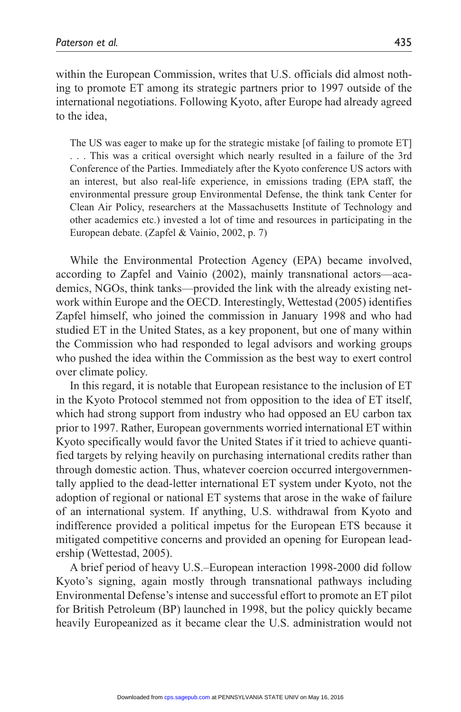within the European Commission, writes that U.S. officials did almost nothing to promote ET among its strategic partners prior to 1997 outside of the international negotiations. Following Kyoto, after Europe had already agreed to the idea,

The US was eager to make up for the strategic mistake [of failing to promote ET] . . . This was a critical oversight which nearly resulted in a failure of the 3rd Conference of the Parties. Immediately after the Kyoto conference US actors with an interest, but also real-life experience, in emissions trading (EPA staff, the environmental pressure group Environmental Defense, the think tank Center for Clean Air Policy, researchers at the Massachusetts Institute of Technology and other academics etc.) invested a lot of time and resources in participating in the European debate. (Zapfel & Vainio, 2002, p. 7)

While the Environmental Protection Agency (EPA) became involved, according to Zapfel and Vainio (2002), mainly transnational actors—academics, NGOs, think tanks—provided the link with the already existing network within Europe and the OECD. Interestingly, Wettestad (2005) identifies Zapfel himself, who joined the commission in January 1998 and who had studied ET in the United States, as a key proponent, but one of many within the Commission who had responded to legal advisors and working groups who pushed the idea within the Commission as the best way to exert control over climate policy.

In this regard, it is notable that European resistance to the inclusion of ET in the Kyoto Protocol stemmed not from opposition to the idea of ET itself, which had strong support from industry who had opposed an EU carbon tax prior to 1997. Rather, European governments worried international ET within Kyoto specifically would favor the United States if it tried to achieve quantified targets by relying heavily on purchasing international credits rather than through domestic action. Thus, whatever coercion occurred intergovernmentally applied to the dead-letter international ET system under Kyoto, not the adoption of regional or national ET systems that arose in the wake of failure of an international system. If anything, U.S. withdrawal from Kyoto and indifference provided a political impetus for the European ETS because it mitigated competitive concerns and provided an opening for European leadership (Wettestad, 2005).

A brief period of heavy U.S.–European interaction 1998-2000 did follow Kyoto's signing, again mostly through transnational pathways including Environmental Defense's intense and successful effort to promote an ET pilot for British Petroleum (BP) launched in 1998, but the policy quickly became heavily Europeanized as it became clear the U.S. administration would not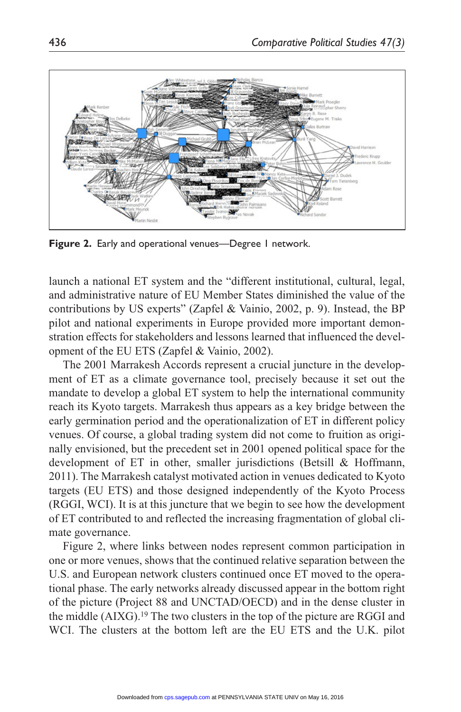

**Figure 2.** Early and operational venues—Degree 1 network.

launch a national ET system and the "different institutional, cultural, legal, and administrative nature of EU Member States diminished the value of the contributions by US experts" (Zapfel & Vainio, 2002, p. 9). Instead, the BP pilot and national experiments in Europe provided more important demonstration effects for stakeholders and lessons learned that influenced the development of the EU ETS (Zapfel & Vainio, 2002).

The 2001 Marrakesh Accords represent a crucial juncture in the development of ET as a climate governance tool, precisely because it set out the mandate to develop a global ET system to help the international community reach its Kyoto targets. Marrakesh thus appears as a key bridge between the early germination period and the operationalization of ET in different policy venues. Of course, a global trading system did not come to fruition as originally envisioned, but the precedent set in 2001 opened political space for the development of ET in other, smaller jurisdictions (Betsill & Hoffmann, 2011). The Marrakesh catalyst motivated action in venues dedicated to Kyoto targets (EU ETS) and those designed independently of the Kyoto Process (RGGI, WCI). It is at this juncture that we begin to see how the development of ET contributed to and reflected the increasing fragmentation of global climate governance.

Figure 2, where links between nodes represent common participation in one or more venues, shows that the continued relative separation between the U.S. and European network clusters continued once ET moved to the operational phase. The early networks already discussed appear in the bottom right of the picture (Project 88 and UNCTAD/OECD) and in the dense cluster in the middle (AIXG).19 The two clusters in the top of the picture are RGGI and WCI. The clusters at the bottom left are the EU ETS and the U.K. pilot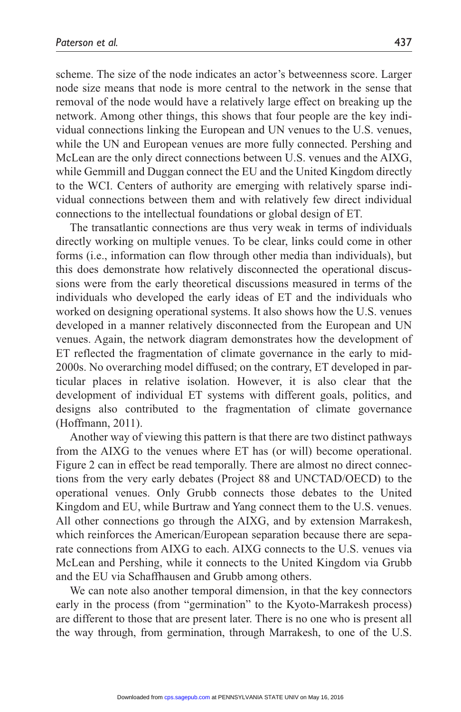scheme. The size of the node indicates an actor's betweenness score. Larger node size means that node is more central to the network in the sense that removal of the node would have a relatively large effect on breaking up the network. Among other things, this shows that four people are the key individual connections linking the European and UN venues to the U.S. venues, while the UN and European venues are more fully connected. Pershing and McLean are the only direct connections between U.S. venues and the AIXG, while Gemmill and Duggan connect the EU and the United Kingdom directly to the WCI. Centers of authority are emerging with relatively sparse individual connections between them and with relatively few direct individual connections to the intellectual foundations or global design of ET.

The transatlantic connections are thus very weak in terms of individuals directly working on multiple venues. To be clear, links could come in other forms (i.e., information can flow through other media than individuals), but this does demonstrate how relatively disconnected the operational discussions were from the early theoretical discussions measured in terms of the individuals who developed the early ideas of ET and the individuals who worked on designing operational systems. It also shows how the U.S. venues developed in a manner relatively disconnected from the European and UN venues. Again, the network diagram demonstrates how the development of ET reflected the fragmentation of climate governance in the early to mid-2000s. No overarching model diffused; on the contrary, ET developed in particular places in relative isolation. However, it is also clear that the development of individual ET systems with different goals, politics, and designs also contributed to the fragmentation of climate governance (Hoffmann, 2011).

Another way of viewing this pattern is that there are two distinct pathways from the AIXG to the venues where ET has (or will) become operational. Figure 2 can in effect be read temporally. There are almost no direct connections from the very early debates (Project 88 and UNCTAD/OECD) to the operational venues. Only Grubb connects those debates to the United Kingdom and EU, while Burtraw and Yang connect them to the U.S. venues. All other connections go through the AIXG, and by extension Marrakesh, which reinforces the American/European separation because there are separate connections from AIXG to each. AIXG connects to the U.S. venues via McLean and Pershing, while it connects to the United Kingdom via Grubb and the EU via Schaffhausen and Grubb among others.

We can note also another temporal dimension, in that the key connectors early in the process (from "germination" to the Kyoto-Marrakesh process) are different to those that are present later. There is no one who is present all the way through, from germination, through Marrakesh, to one of the U.S.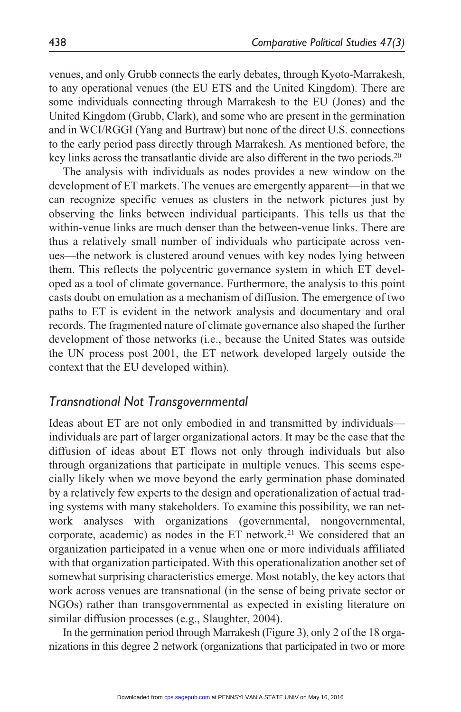venues, and only Grubb connects the early debates, through Kyoto-Marrakesh, to any operational venues (the EU ETS and the United Kingdom). There are some individuals connecting through Marrakesh to the EU (Jones) and the United Kingdom (Grubb, Clark), and some who are present in the germination and in WCI/RGGI (Yang and Burtraw) but none of the direct U.S. connections to the early period pass directly through Marrakesh. As mentioned before, the key links across the transatlantic divide are also different in the two periods.20

The analysis with individuals as nodes provides a new window on the development of ET markets. The venues are emergently apparent—in that we can recognize specific venues as clusters in the network pictures just by observing the links between individual participants. This tells us that the within-venue links are much denser than the between-venue links. There are thus a relatively small number of individuals who participate across venues—the network is clustered around venues with key nodes lying between them. This reflects the polycentric governance system in which ET developed as a tool of climate governance. Furthermore, the analysis to this point casts doubt on emulation as a mechanism of diffusion. The emergence of two paths to ET is evident in the network analysis and documentary and oral records. The fragmented nature of climate governance also shaped the further development of those networks (i.e., because the United States was outside the UN process post 2001, the ET network developed largely outside the context that the EU developed within).

### *Transnational Not Transgovernmental*

Ideas about ET are not only embodied in and transmitted by individuals individuals are part of larger organizational actors. It may be the case that the diffusion of ideas about ET flows not only through individuals but also through organizations that participate in multiple venues. This seems especially likely when we move beyond the early germination phase dominated by a relatively few experts to the design and operationalization of actual trading systems with many stakeholders. To examine this possibility, we ran network analyses with organizations (governmental, nongovernmental, corporate, academic) as nodes in the ET network.21 We considered that an organization participated in a venue when one or more individuals affiliated with that organization participated. With this operationalization another set of somewhat surprising characteristics emerge. Most notably, the key actors that work across venues are transnational (in the sense of being private sector or NGOs) rather than transgovernmental as expected in existing literature on similar diffusion processes (e.g., Slaughter, 2004).

In the germination period through Marrakesh (Figure 3), only 2 of the 18 organizations in this degree 2 network (organizations that participated in two or more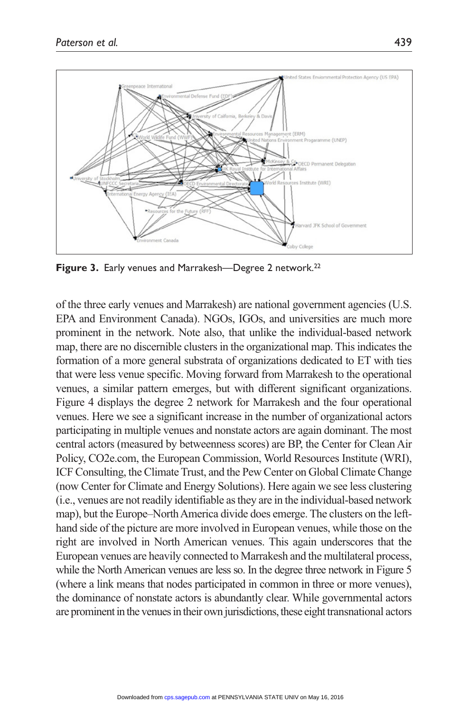

**Figure 3.** Early venues and Marrakesh—Degree 2 network.<sup>22</sup>

of the three early venues and Marrakesh) are national government agencies (U.S. EPA and Environment Canada). NGOs, IGOs, and universities are much more prominent in the network. Note also, that unlike the individual-based network map, there are no discernible clusters in the organizational map. This indicates the formation of a more general substrata of organizations dedicated to ET with ties that were less venue specific. Moving forward from Marrakesh to the operational venues, a similar pattern emerges, but with different significant organizations. Figure 4 displays the degree 2 network for Marrakesh and the four operational venues. Here we see a significant increase in the number of organizational actors participating in multiple venues and nonstate actors are again dominant. The most central actors (measured by betweenness scores) are BP, the Center for Clean Air Policy, CO2e.com, the European Commission, World Resources Institute (WRI), ICF Consulting, the Climate Trust, and the Pew Center on Global Climate Change (now Center for Climate and Energy Solutions). Here again we see less clustering (i.e., venues are not readily identifiable as they are in the individual-based network map), but the Europe–North America divide does emerge. The clusters on the lefthand side of the picture are more involved in European venues, while those on the right are involved in North American venues. This again underscores that the European venues are heavily connected to Marrakesh and the multilateral process, while the North American venues are less so. In the degree three network in Figure 5 (where a link means that nodes participated in common in three or more venues), the dominance of nonstate actors is abundantly clear. While governmental actors are prominent in the venues in their own jurisdictions, these eight transnational actors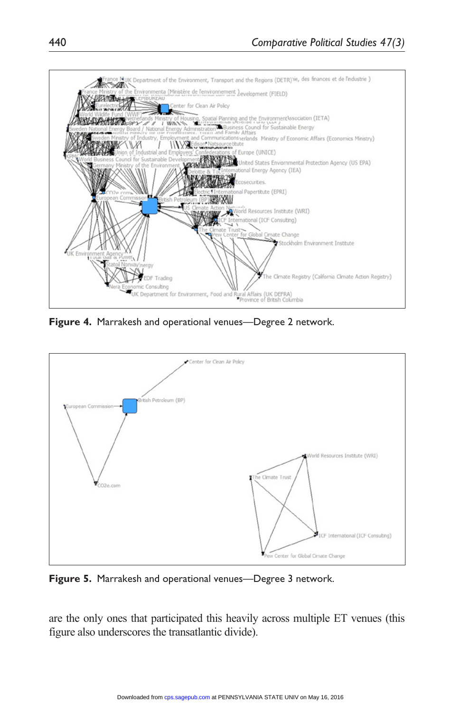

**Figure 4.** Marrakesh and operational venues—Degree 2 network.



**Figure 5.** Marrakesh and operational venues—Degree 3 network.

are the only ones that participated this heavily across multiple ET venues (this figure also underscores the transatlantic divide).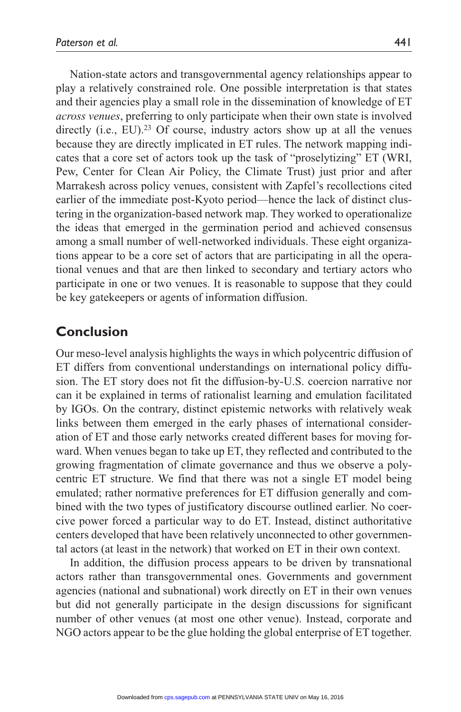Nation-state actors and transgovernmental agency relationships appear to play a relatively constrained role. One possible interpretation is that states and their agencies play a small role in the dissemination of knowledge of ET *across venues*, preferring to only participate when their own state is involved directly (i.e., EU).<sup>23</sup> Of course, industry actors show up at all the venues because they are directly implicated in ET rules. The network mapping indicates that a core set of actors took up the task of "proselytizing" ET (WRI, Pew, Center for Clean Air Policy, the Climate Trust) just prior and after Marrakesh across policy venues, consistent with Zapfel's recollections cited earlier of the immediate post-Kyoto period—hence the lack of distinct clustering in the organization-based network map. They worked to operationalize the ideas that emerged in the germination period and achieved consensus among a small number of well-networked individuals. These eight organizations appear to be a core set of actors that are participating in all the operational venues and that are then linked to secondary and tertiary actors who participate in one or two venues. It is reasonable to suppose that they could be key gatekeepers or agents of information diffusion.

# **Conclusion**

Our meso-level analysis highlights the ways in which polycentric diffusion of ET differs from conventional understandings on international policy diffusion. The ET story does not fit the diffusion-by-U.S. coercion narrative nor can it be explained in terms of rationalist learning and emulation facilitated by IGOs. On the contrary, distinct epistemic networks with relatively weak links between them emerged in the early phases of international consideration of ET and those early networks created different bases for moving forward. When venues began to take up ET, they reflected and contributed to the growing fragmentation of climate governance and thus we observe a polycentric ET structure. We find that there was not a single ET model being emulated; rather normative preferences for ET diffusion generally and combined with the two types of justificatory discourse outlined earlier. No coercive power forced a particular way to do ET. Instead, distinct authoritative centers developed that have been relatively unconnected to other governmental actors (at least in the network) that worked on ET in their own context.

In addition, the diffusion process appears to be driven by transnational actors rather than transgovernmental ones. Governments and government agencies (national and subnational) work directly on ET in their own venues but did not generally participate in the design discussions for significant number of other venues (at most one other venue). Instead, corporate and NGO actors appear to be the glue holding the global enterprise of ET together.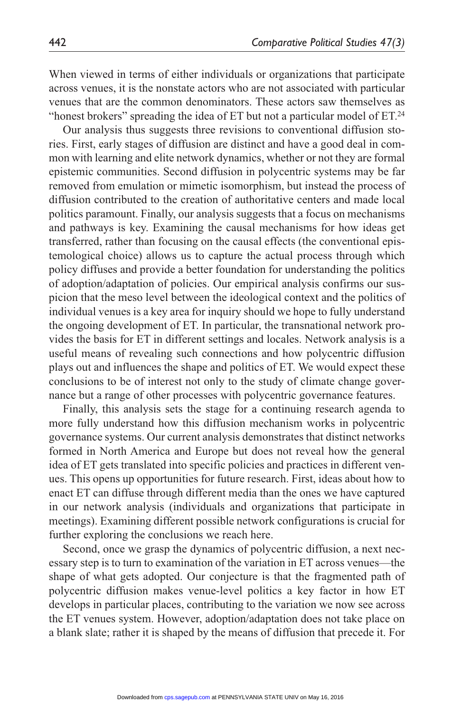When viewed in terms of either individuals or organizations that participate across venues, it is the nonstate actors who are not associated with particular venues that are the common denominators. These actors saw themselves as "honest brokers" spreading the idea of ET but not a particular model of ET.24

Our analysis thus suggests three revisions to conventional diffusion stories. First, early stages of diffusion are distinct and have a good deal in common with learning and elite network dynamics, whether or not they are formal epistemic communities. Second diffusion in polycentric systems may be far removed from emulation or mimetic isomorphism, but instead the process of diffusion contributed to the creation of authoritative centers and made local politics paramount. Finally, our analysis suggests that a focus on mechanisms and pathways is key. Examining the causal mechanisms for how ideas get transferred, rather than focusing on the causal effects (the conventional epistemological choice) allows us to capture the actual process through which policy diffuses and provide a better foundation for understanding the politics of adoption/adaptation of policies. Our empirical analysis confirms our suspicion that the meso level between the ideological context and the politics of individual venues is a key area for inquiry should we hope to fully understand the ongoing development of ET. In particular, the transnational network provides the basis for ET in different settings and locales. Network analysis is a useful means of revealing such connections and how polycentric diffusion plays out and influences the shape and politics of ET. We would expect these conclusions to be of interest not only to the study of climate change governance but a range of other processes with polycentric governance features.

Finally, this analysis sets the stage for a continuing research agenda to more fully understand how this diffusion mechanism works in polycentric governance systems. Our current analysis demonstrates that distinct networks formed in North America and Europe but does not reveal how the general idea of ET gets translated into specific policies and practices in different venues. This opens up opportunities for future research. First, ideas about how to enact ET can diffuse through different media than the ones we have captured in our network analysis (individuals and organizations that participate in meetings). Examining different possible network configurations is crucial for further exploring the conclusions we reach here.

Second, once we grasp the dynamics of polycentric diffusion, a next necessary step is to turn to examination of the variation in ET across venues—the shape of what gets adopted. Our conjecture is that the fragmented path of polycentric diffusion makes venue-level politics a key factor in how ET develops in particular places, contributing to the variation we now see across the ET venues system. However, adoption/adaptation does not take place on a blank slate; rather it is shaped by the means of diffusion that precede it. For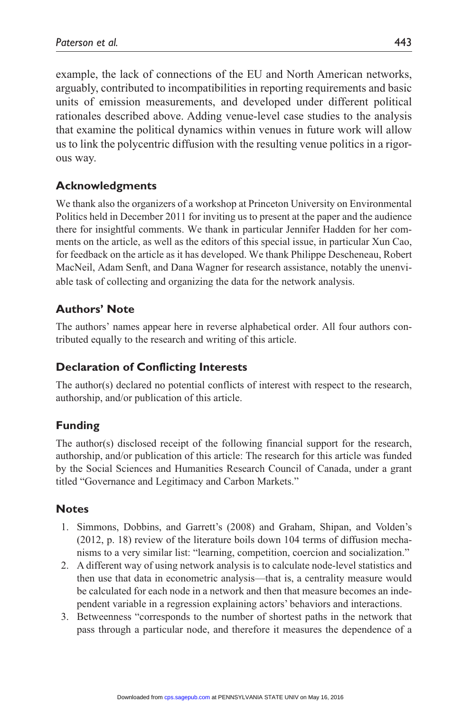example, the lack of connections of the EU and North American networks, arguably, contributed to incompatibilities in reporting requirements and basic units of emission measurements, and developed under different political rationales described above. Adding venue-level case studies to the analysis that examine the political dynamics within venues in future work will allow us to link the polycentric diffusion with the resulting venue politics in a rigorous way.

# **Acknowledgments**

We thank also the organizers of a workshop at Princeton University on Environmental Politics held in December 2011 for inviting us to present at the paper and the audience there for insightful comments. We thank in particular Jennifer Hadden for her comments on the article, as well as the editors of this special issue, in particular Xun Cao, for feedback on the article as it has developed. We thank Philippe Descheneau, Robert MacNeil, Adam Senft, and Dana Wagner for research assistance, notably the unenviable task of collecting and organizing the data for the network analysis.

# **Authors' Note**

The authors' names appear here in reverse alphabetical order. All four authors contributed equally to the research and writing of this article.

# **Declaration of Conflicting Interests**

The author(s) declared no potential conflicts of interest with respect to the research, authorship, and/or publication of this article.

### **Funding**

The author(s) disclosed receipt of the following financial support for the research, authorship, and/or publication of this article: The research for this article was funded by the Social Sciences and Humanities Research Council of Canada, under a grant titled "Governance and Legitimacy and Carbon Markets."

### **Notes**

- 1. Simmons, Dobbins, and Garrett's (2008) and Graham, Shipan, and Volden's (2012, p. 18) review of the literature boils down 104 terms of diffusion mechanisms to a very similar list: "learning, competition, coercion and socialization."
- 2. A different way of using network analysis is to calculate node-level statistics and then use that data in econometric analysis—that is, a centrality measure would be calculated for each node in a network and then that measure becomes an independent variable in a regression explaining actors' behaviors and interactions.
- 3. Betweenness "corresponds to the number of shortest paths in the network that pass through a particular node, and therefore it measures the dependence of a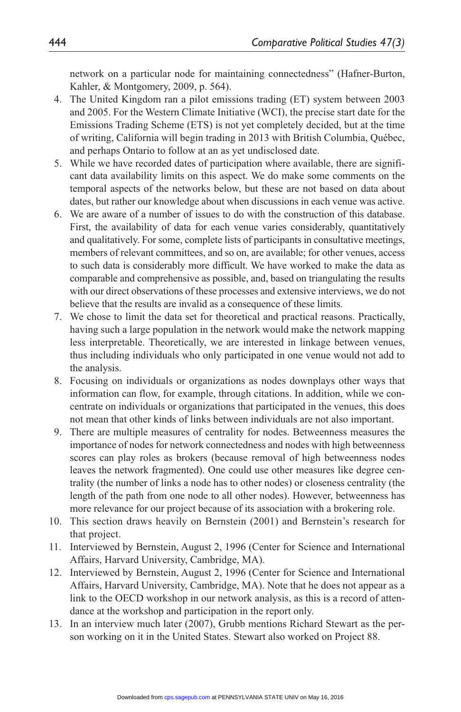network on a particular node for maintaining connectedness" (Hafner-Burton, Kahler, & Montgomery, 2009, p. 564).

- 4. The United Kingdom ran a pilot emissions trading (ET) system between 2003 and 2005. For the Western Climate Initiative (WCI), the precise start date for the Emissions Trading Scheme (ETS) is not yet completely decided, but at the time of writing, California will begin trading in 2013 with British Columbia, Québec, and perhaps Ontario to follow at an as yet undisclosed date.
- 5. While we have recorded dates of participation where available, there are significant data availability limits on this aspect. We do make some comments on the temporal aspects of the networks below, but these are not based on data about dates, but rather our knowledge about when discussions in each venue was active.
- 6. We are aware of a number of issues to do with the construction of this database. First, the availability of data for each venue varies considerably, quantitatively and qualitatively. For some, complete lists of participants in consultative meetings, members of relevant committees, and so on, are available; for other venues, access to such data is considerably more difficult. We have worked to make the data as comparable and comprehensive as possible, and, based on triangulating the results with our direct observations of these processes and extensive interviews, we do not believe that the results are invalid as a consequence of these limits.
- 7. We chose to limit the data set for theoretical and practical reasons. Practically, having such a large population in the network would make the network mapping less interpretable. Theoretically, we are interested in linkage between venues, thus including individuals who only participated in one venue would not add to the analysis.
- 8. Focusing on individuals or organizations as nodes downplays other ways that information can flow, for example, through citations. In addition, while we concentrate on individuals or organizations that participated in the venues, this does not mean that other kinds of links between individuals are not also important.
- 9. There are multiple measures of centrality for nodes. Betweenness measures the importance of nodes for network connectedness and nodes with high betweenness scores can play roles as brokers (because removal of high betweenness nodes leaves the network fragmented). One could use other measures like degree centrality (the number of links a node has to other nodes) or closeness centrality (the length of the path from one node to all other nodes). However, betweenness has more relevance for our project because of its association with a brokering role.
- 10. This section draws heavily on Bernstein (2001) and Bernstein's research for that project.
- 11. Interviewed by Bernstein, August 2, 1996 (Center for Science and International Affairs, Harvard University, Cambridge, MA).
- 12. Interviewed by Bernstein, August 2, 1996 (Center for Science and International Affairs, Harvard University, Cambridge, MA). Note that he does not appear as a link to the OECD workshop in our network analysis, as this is a record of attendance at the workshop and participation in the report only.
- 13. In an interview much later (2007), Grubb mentions Richard Stewart as the person working on it in the United States. Stewart also worked on Project 88.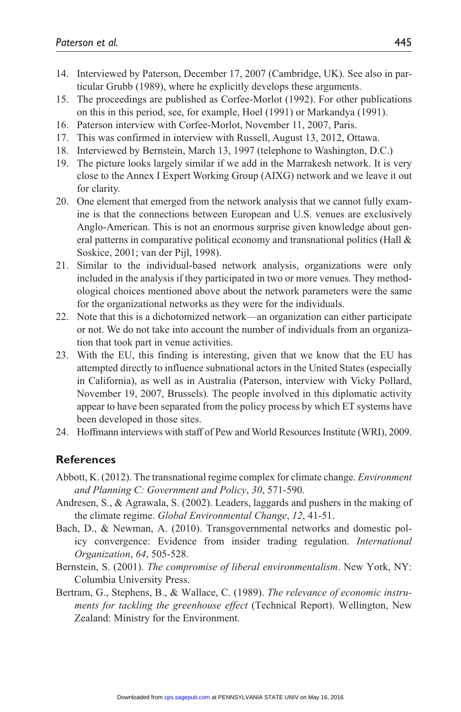- 14. Interviewed by Paterson, December 17, 2007 (Cambridge, UK). See also in particular Grubb (1989), where he explicitly develops these arguments.
- 15. The proceedings are published as Corfee-Morlot (1992). For other publications on this in this period, see, for example, Hoel (1991) or Markandya (1991).
- 16. Paterson interview with Corfee-Morlot, November 11, 2007, Paris.
- 17. This was confirmed in interview with Russell, August 13, 2012, Ottawa.
- 18. Interviewed by Bernstein, March 13, 1997 (telephone to Washington, D.C.)
- 19. The picture looks largely similar if we add in the Marrakesh network. It is very close to the Annex I Expert Working Group (AIXG) network and we leave it out for clarity.
- 20. One element that emerged from the network analysis that we cannot fully examine is that the connections between European and U.S. venues are exclusively Anglo-American. This is not an enormous surprise given knowledge about general patterns in comparative political economy and transnational politics (Hall & Soskice, 2001; van der Pijl, 1998).
- 21. Similar to the individual-based network analysis, organizations were only included in the analysis if they participated in two or more venues. They methodological choices mentioned above about the network parameters were the same for the organizational networks as they were for the individuals.
- 22. Note that this is a dichotomized network—an organization can either participate or not. We do not take into account the number of individuals from an organization that took part in venue activities.
- 23. With the EU, this finding is interesting, given that we know that the EU has attempted directly to influence subnational actors in the United States (especially in California), as well as in Australia (Paterson, interview with Vicky Pollard, November 19, 2007, Brussels). The people involved in this diplomatic activity appear to have been separated from the policy process by which ET systems have been developed in those sites.
- 24. Hoffmann interviews with staff of Pew and World Resources Institute (WRI), 2009.

### **References**

- Abbott, K. (2012). The transnational regime complex for climate change. *Environment and Planning C: Government and Policy*, *30*, 571-590.
- Andresen, S., & Agrawala, S. (2002). Leaders, laggards and pushers in the making of the climate regime. *Global Environmental Change*, *12*, 41-51.
- Bach, D., & Newman, A. (2010). Transgovernmental networks and domestic policy convergence: Evidence from insider trading regulation. *International Organization*, *64*, 505-528.
- Bernstein, S. (2001). *The compromise of liberal environmentalism*. New York, NY: Columbia University Press.
- Bertram, G., Stephens, B., & Wallace, C. (1989). *The relevance of economic instruments for tackling the greenhouse effect* (Technical Report). Wellington, New Zealand: Ministry for the Environment.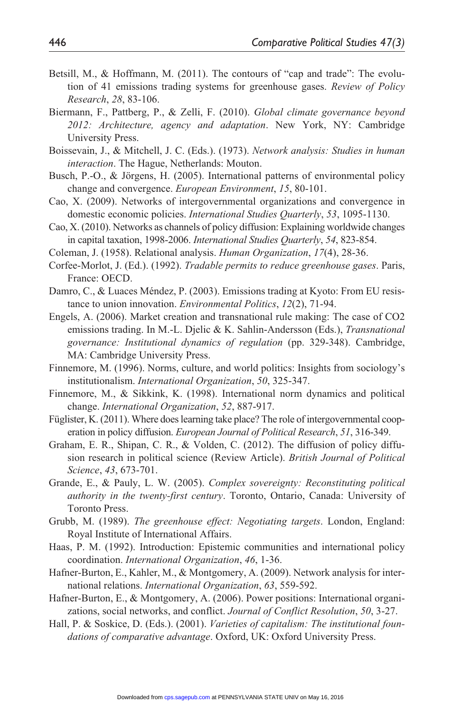- Betsill, M., & Hoffmann, M. (2011). The contours of "cap and trade": The evolution of 41 emissions trading systems for greenhouse gases. *Review of Policy Research*, *28*, 83-106.
- Biermann, F., Pattberg, P., & Zelli, F. (2010). *Global climate governance beyond 2012: Architecture, agency and adaptation*. New York, NY: Cambridge University Press.
- Boissevain, J., & Mitchell, J. C. (Eds.). (1973). *Network analysis: Studies in human interaction*. The Hague, Netherlands: Mouton.
- Busch, P.-O., & Jörgens, H. (2005). International patterns of environmental policy change and convergence. *European Environment*, *15*, 80-101.
- Cao, X. (2009). Networks of intergovernmental organizations and convergence in domestic economic policies. *International Studies Quarterly*, *53*, 1095-1130.
- Cao, X. (2010). Networks as channels of policy diffusion: Explaining worldwide changes in capital taxation, 1998-2006. *International Studies Quarterly*, *54*, 823-854.
- Coleman, J. (1958). Relational analysis. *Human Organization*, *17*(4), 28-36.
- Corfee-Morlot, J. (Ed.). (1992). *Tradable permits to reduce greenhouse gases*. Paris, France: OECD.
- Damro, C., & Luaces Méndez, P. (2003). Emissions trading at Kyoto: From EU resistance to union innovation. *Environmental Politics*, *12*(2), 71-94.
- Engels, A. (2006). Market creation and transnational rule making: The case of CO2 emissions trading. In M.-L. Djelic & K. Sahlin-Andersson (Eds.), *Transnational governance: Institutional dynamics of regulation* (pp. 329-348). Cambridge, MA: Cambridge University Press.
- Finnemore, M. (1996). Norms, culture, and world politics: Insights from sociology's institutionalism. *International Organization*, *50*, 325-347.
- Finnemore, M., & Sikkink, K. (1998). International norm dynamics and political change. *International Organization*, *52*, 887-917.
- Füglister, K. (2011). Where does learning take place? The role of intergovernmental cooperation in policy diffusion. *European Journal of Political Research*, *51*, 316-349.
- Graham, E. R., Shipan, C. R., & Volden, C. (2012). The diffusion of policy diffusion research in political science (Review Article). *British Journal of Political Science*, *43*, 673-701.
- Grande, E., & Pauly, L. W. (2005). *Complex sovereignty: Reconstituting political authority in the twenty-first century*. Toronto, Ontario, Canada: University of Toronto Press.
- Grubb, M. (1989). *The greenhouse effect: Negotiating targets*. London, England: Royal Institute of International Affairs.
- Haas, P. M. (1992). Introduction: Epistemic communities and international policy coordination. *International Organization*, *46*, 1-36.
- Hafner-Burton, E., Kahler, M., & Montgomery, A. (2009). Network analysis for international relations. *International Organization*, *63*, 559-592.
- Hafner-Burton, E., & Montgomery, A. (2006). Power positions: International organizations, social networks, and conflict. *Journal of Conflict Resolution*, *50*, 3-27.
- Hall, P. & Soskice, D. (Eds.). (2001). *Varieties of capitalism: The institutional foundations of comparative advantage*. Oxford, UK: Oxford University Press.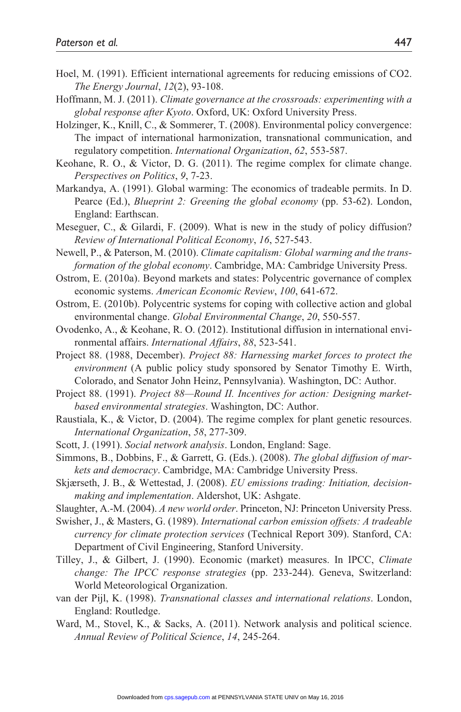- Hoel, M. (1991). Efficient international agreements for reducing emissions of CO2. *The Energy Journal*, *12*(2), 93-108.
- Hoffmann, M. J. (2011). *Climate governance at the crossroads: experimenting with a global response after Kyoto*. Oxford, UK: Oxford University Press.
- Holzinger, K., Knill, C., & Sommerer, T. (2008). Environmental policy convergence: The impact of international harmonization, transnational communication, and regulatory competition. *International Organization*, *62*, 553-587.
- Keohane, R. O., & Victor, D. G. (2011). The regime complex for climate change. *Perspectives on Politics*, *9*, 7-23.
- Markandya, A. (1991). Global warming: The economics of tradeable permits. In D. Pearce (Ed.), *Blueprint 2: Greening the global economy* (pp. 53-62). London, England: Earthscan.
- Meseguer, C., & Gilardi, F. (2009). What is new in the study of policy diffusion? *Review of International Political Economy*, *16*, 527-543.
- Newell, P., & Paterson, M. (2010). *Climate capitalism: Global warming and the transformation of the global economy*. Cambridge, MA: Cambridge University Press.
- Ostrom, E. (2010a). Beyond markets and states: Polycentric governance of complex economic systems. *American Economic Review*, *100*, 641-672.
- Ostrom, E. (2010b). Polycentric systems for coping with collective action and global environmental change. *Global Environmental Change*, *20*, 550-557.
- Ovodenko, A., & Keohane, R. O. (2012). Institutional diffusion in international environmental affairs. *International Affairs*, *88*, 523-541.
- Project 88. (1988, December). *Project 88: Harnessing market forces to protect the environment* (A public policy study sponsored by Senator Timothy E. Wirth, Colorado, and Senator John Heinz, Pennsylvania). Washington, DC: Author.
- Project 88. (1991). *Project 88—Round II. Incentives for action: Designing marketbased environmental strategies*. Washington, DC: Author.
- Raustiala, K., & Victor, D. (2004). The regime complex for plant genetic resources. *International Organization*, *58*, 277-309.
- Scott, J. (1991). *Social network analysis*. London, England: Sage.
- Simmons, B., Dobbins, F., & Garrett, G. (Eds.). (2008). *The global diffusion of markets and democracy*. Cambridge, MA: Cambridge University Press.
- Skjærseth, J. B., & Wettestad, J. (2008). *EU emissions trading: Initiation, decisionmaking and implementation*. Aldershot, UK: Ashgate.
- Slaughter, A.-M. (2004). *A new world order*. Princeton, NJ: Princeton University Press.
- Swisher, J., & Masters, G. (1989). *International carbon emission offsets: A tradeable currency for climate protection services* (Technical Report 309). Stanford, CA: Department of Civil Engineering, Stanford University.
- Tilley, J., & Gilbert, J. (1990). Economic (market) measures. In IPCC, *Climate change: The IPCC response strategies* (pp. 233-244). Geneva, Switzerland: World Meteorological Organization.
- van der Pijl, K. (1998). *Transnational classes and international relations*. London, England: Routledge.
- Ward, M., Stovel, K., & Sacks, A. (2011). Network analysis and political science. *Annual Review of Political Science*, *14*, 245-264.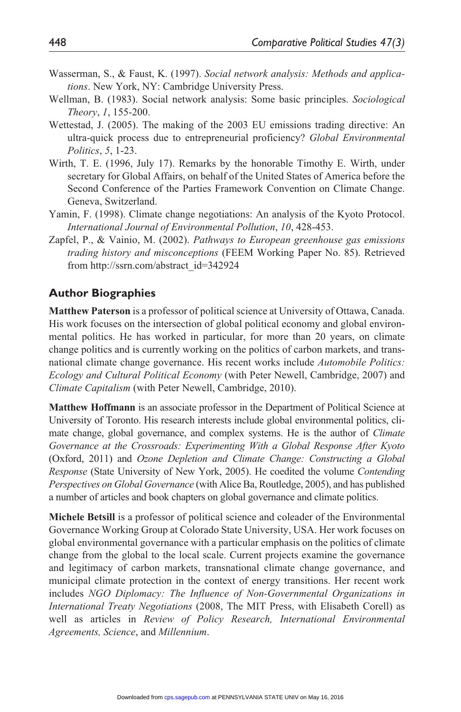- Wasserman, S., & Faust, K. (1997). *Social network analysis: Methods and applications*. New York, NY: Cambridge University Press.
- Wellman, B. (1983). Social network analysis: Some basic principles. *Sociological Theory*, *1*, 155-200.
- Wettestad, J. (2005). The making of the 2003 EU emissions trading directive: An ultra-quick process due to entrepreneurial proficiency? *Global Environmental Politics*, *5*, 1-23.
- Wirth, T. E. (1996, July 17). Remarks by the honorable Timothy E. Wirth, under secretary for Global Affairs, on behalf of the United States of America before the Second Conference of the Parties Framework Convention on Climate Change. Geneva, Switzerland.
- Yamin, F. (1998). Climate change negotiations: An analysis of the Kyoto Protocol. *International Journal of Environmental Pollution*, *10*, 428-453.
- Zapfel, P., & Vainio, M. (2002). *Pathways to European greenhouse gas emissions trading history and misconceptions* (FEEM Working Paper No. 85). Retrieved from [http://ssrn.com/abstract\\_id=342924](http://ssrn.com/abstract_id=342924)

#### **Author Biographies**

**Matthew Paterson** is a professor of political science at University of Ottawa, Canada. His work focuses on the intersection of global political economy and global environmental politics. He has worked in particular, for more than 20 years, on climate change politics and is currently working on the politics of carbon markets, and transnational climate change governance. His recent works include *Automobile Politics: Ecology and Cultural Political Economy* (with Peter Newell, Cambridge, 2007) and *Climate Capitalism* (with Peter Newell, Cambridge, 2010).

**Matthew Hoffmann** is an associate professor in the Department of Political Science at University of Toronto. His research interests include global environmental politics, climate change, global governance, and complex systems. He is the author of *Climate Governance at the Crossroads: Experimenting With a Global Response After Kyoto* (Oxford, 2011) and *Ozone Depletion and Climate Change: Constructing a Global Response* (State University of New York, 2005). He coedited the volume *Contending Perspectives on Global Governance* (with Alice Ba, Routledge, 2005), and has published a number of articles and book chapters on global governance and climate politics.

**Michele Betsill** is a professor of political science and coleader of the Environmental Governance Working Group at Colorado State University, USA. Her work focuses on global environmental governance with a particular emphasis on the politics of climate change from the global to the local scale. Current projects examine the governance and legitimacy of carbon markets, transnational climate change governance, and municipal climate protection in the context of energy transitions. Her recent work includes *NGO Diplomacy: The Influence of Non-Governmental Organizations in International Treaty Negotiations* (2008, The MIT Press, with Elisabeth Corell) as well as articles in *Review of Policy Research, International Environmental Agreements, Science*, and *Millennium*.